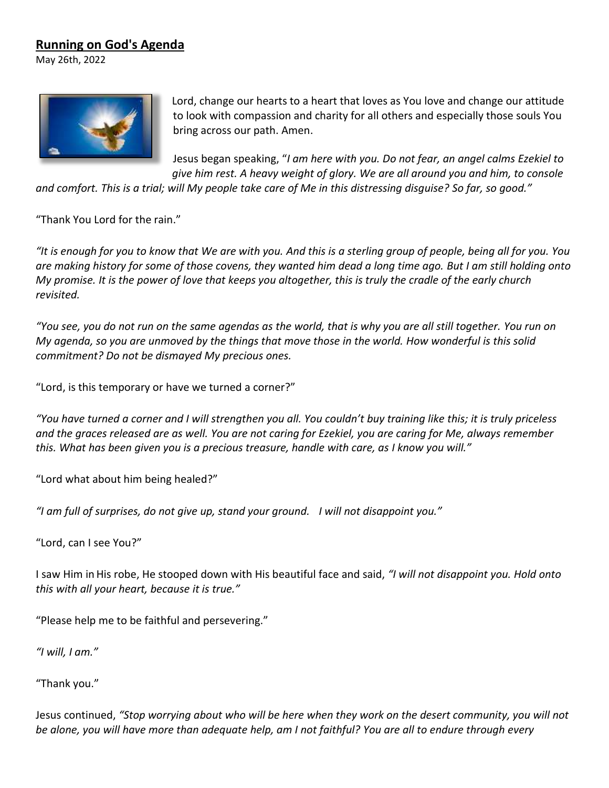## **Running on God's Agenda**

May 26th, 2022



Lord, change our hearts to a heart that loves as You love and change our attitude to look with compassion and charity for all others and especially those souls You bring across our path. Amen.

Jesus began speaking, "*I am here with you. Do not fear, an angel calms Ezekiel to give him rest. A heavy weight of glory. We are all around you and him, to console* 

*and comfort. This is a trial; will My people take care of Me in this distressing disguise? So far, so good."* 

"Thank You Lord for the rain."

*"It is enough for you to know that We are with you. And this is a sterling group of people, being all for you. You are making history for some of those covens, they wanted him dead a long time ago. But I am still holding onto My promise. It is the power of love that keeps you altogether, this is truly the cradle of the early church revisited.* 

*"You see, you do not run on the same agendas as the world, that is why you are all still together. You run on My agenda, so you are unmoved by the things that move those in the world. How wonderful is this solid commitment? Do not be dismayed My precious ones.* 

"Lord, is this temporary or have we turned a corner?"   

*"You have turned a corner and I will strengthen you all. You couldn't buy training like this; it is truly priceless and the graces released are as well. You are not caring for Ezekiel, you are caring for Me, always remember this. What has been given you is a precious treasure, handle with care, as I know you will."* 

"Lord what about him being healed?"

*"I am full of surprises, do not give up, stand your ground.    I will not disappoint you."*

"Lord, can I see You?"

I saw Him in His robe, He stooped down with His beautiful face and said, *"I will not disappoint you. Hold onto*  this with all your heart, because it is true."

"Please help me to be faithful and persevering."   

*"I will, I am."*

"Thank you."

Jesus continued, *"Stop worrying about who will be here when they work on the desert community, you will not be alone, you will have more than adequate help, am I not faithful? You are all to endure through every*